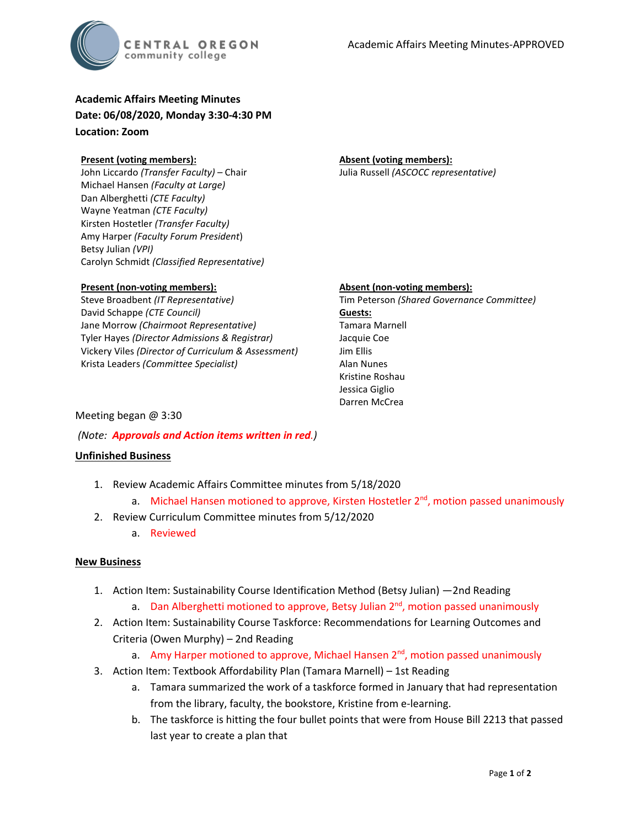

# **Academic Affairs Meeting Minutes Date: 06/08/2020, Monday 3:30-4:30 PM Location: Zoom**

#### **Present (voting members):**

John Liccardo *(Transfer Faculty)* – Chair Michael Hansen *(Faculty at Large)* Dan Alberghetti *(CTE Faculty)* Wayne Yeatman *(CTE Faculty)* Kirsten Hostetler *(Transfer Faculty)* Amy Harper *(Faculty Forum President*) Betsy Julian *(VPI)* Carolyn Schmidt *(Classified Representative)*

# **Absent (voting members):**

Julia Russell *(ASCOCC representative)*

# **Present (non-voting members):**

Steve Broadbent *(IT Representative)* David Schappe *(CTE Council)* Jane Morrow *(Chairmoot Representative)* Tyler Hayes *(Director Admissions & Registrar)* Vickery Viles *(Director of Curriculum & Assessment)* Krista Leaders *(Committee Specialist)*

#### **Absent (non-voting members):**

Tim Peterson *(Shared Governance Committee)* **Guests:** Tamara Marnell Jacquie Coe Jim Ellis Alan Nunes Kristine Roshau Jessica Giglio Darren McCrea

### Meeting began @ 3:30

*(Note: Approvals and Action items written in red.)*

# **Unfinished Business**

- 1. Review Academic Affairs Committee minutes from 5/18/2020
	- a. Michael Hansen motioned to approve, Kirsten Hostetler  $2<sup>nd</sup>$ , motion passed unanimously
- 2. Review Curriculum Committee minutes from 5/12/2020
	- a. Reviewed

# **New Business**

- 1. Action Item: Sustainability Course Identification Method (Betsy Julian) —2nd Reading
	- a. Dan Alberghetti motioned to approve, Betsy Julian  $2<sup>nd</sup>$ , motion passed unanimously
- 2. Action Item: Sustainability Course Taskforce: Recommendations for Learning Outcomes and Criteria (Owen Murphy) – 2nd Reading
	- a. Amy Harper motioned to approve, Michael Hansen 2<sup>nd</sup>, motion passed unanimously
- 3. Action Item: Textbook Affordability Plan (Tamara Marnell) 1st Reading
	- a. Tamara summarized the work of a taskforce formed in January that had representation from the library, faculty, the bookstore, Kristine from e-learning.
	- b. The taskforce is hitting the four bullet points that were from House Bill 2213 that passed last year to create a plan that